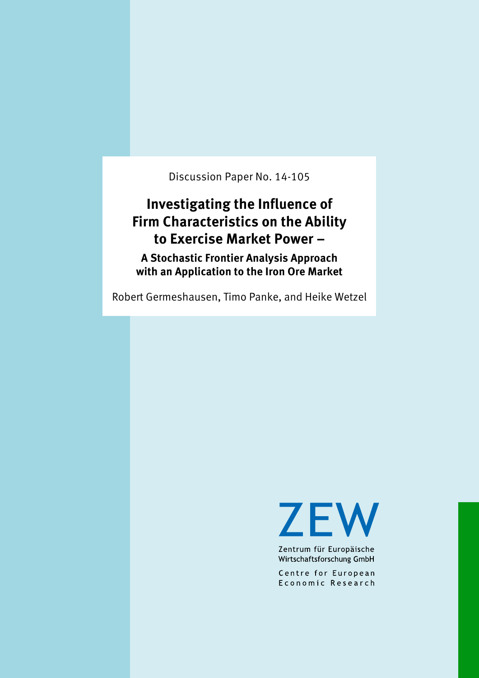Discussion Paper No. 14-105

## **Investigating the Influence of Firm Characteristics on the Ability to Exercise Market Power –**

**A Stochastic Frontier Analysis Approach with an Application to the Iron Ore Market**

Robert Germeshausen, Timo Panke, and Heike Wetzel



Zentrum für Europäische Wirtschaftsforschung GmbH

Centre for European Economic Research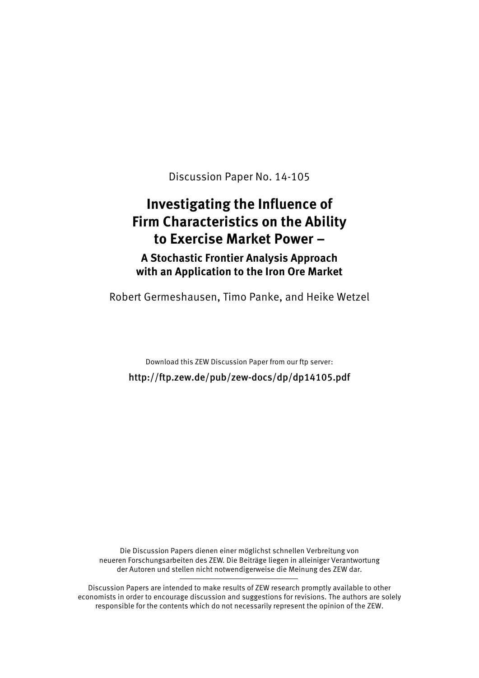Discussion Paper No. 14-105

# **Investigating the Influence of Firm Characteristics on the Ability to Exercise Market Power –**

**A Stochastic Frontier Analysis Approach with an Application to the Iron Ore Market**

Robert Germeshausen, Timo Panke, and Heike Wetzel

Download this ZEW Discussion Paper from our ftp server: http://ftp.zew.de/pub/zew-docs/dp/dp14105.pdf

Die Discussion Papers dienen einer möglichst schnellen Verbreitung von neueren Forschungsarbeiten des ZEW. Die Beiträge liegen in alleiniger Verantwortung der Autoren und stellen nicht notwendigerweise die Meinung des ZEW dar.

Discussion Papers are intended to make results of ZEW research promptly available to other economists in order to encourage discussion and suggestions for revisions. The authors are solely responsible for the contents which do not necessarily represent the opinion of the ZEW.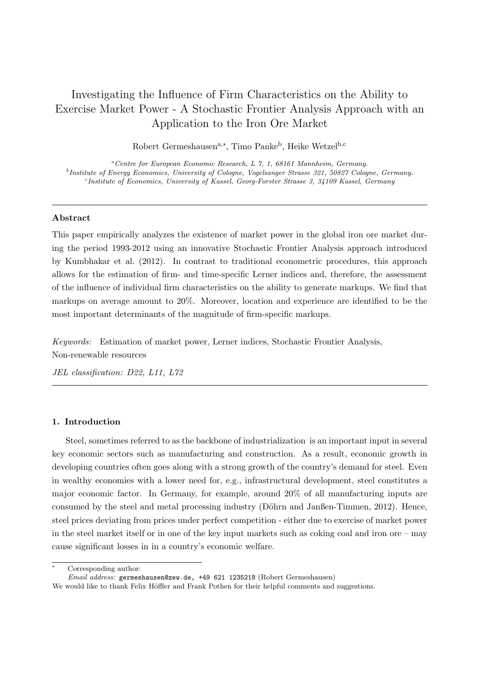### Investigating the Influence of Firm Characteristics on the Ability to Exercise Market Power - A Stochastic Frontier Analysis Approach with an Application to the Iron Ore Market

Robert Germeshausen<sup>a,∗</sup>, Timo Panke<sup>b</sup>, Heike Wetzel<sup>b,c</sup>

<sup>a</sup>*Centre for European Economic Research, L 7, 1, 68161 Mannheim, Germany.* b *Institute of Energy Economics, University of Cologne, Vogelsanger Strasse 321, 50827 Cologne, Germany.* c *Institute of Economics, University of Kassel, Georg-Forster Strasse 3, 34109 Kassel, Germany*

#### Abstract

This paper empirically analyzes the existence of market power in the global iron ore market during the period 1993-2012 using an innovative Stochastic Frontier Analysis approach introduced by [Kumbhakar et al. \(2012](#page-24-0)). In contrast to traditional econometric procedures, this approach allows for the estimation of firm- and time-specific Lerner indices and, therefore, the assessment of the influence of individual firm characteristics on the ability to generate markups. We find that markups on average amount to 20%. Moreover, location and experience are identified to be the most important determinants of the magnitude of firm-specific markups.

*Keywords:* Estimation of market power, Lerner indices, Stochastic Frontier Analysis, Non-renewable resources

*JEL classification: D22, L11, L72*

#### 1. Introduction

Steel, sometimes referred to as the backbone of industrialization is an important input in several key economic sectors such as manufacturing and construction. As a result, economic growth in developing countries often goes along with a strong growth of the country's demand for steel. Even in wealthy economies with a lower need for, e.g., infrastructural development, steel constitutes a major economic factor. In Germany, for example, around 20% of all manufacturing inputs are consumed by the steel and metal processing industry (Döhrn [and Janßen-Timmen](#page-23-0), [2012\)](#page-23-0). Hence, steel prices deviating from prices under perfect competition - either due to exercise of market power in the steel market itself or in one of the key input markets such as coking coal and iron ore – may cause significant losses in in a country's economic welfare.

Corresponding author:

*Email address:* germeshausen@zew.de, +49 621 1235218 (Robert Germeshausen)

We would like to thank Felix Höffler and Frank Pothen for their helpful comments and suggestions.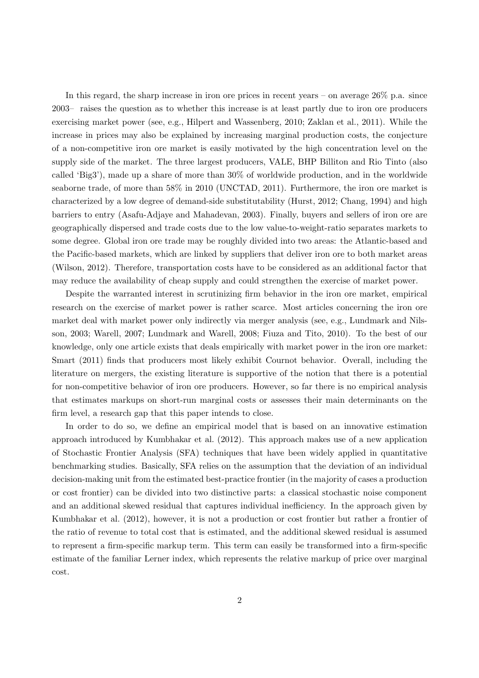In this regard, the sharp increase in iron ore prices in recent years – on average  $26\%$  p.a. since 2003– raises the question as to whether this increase is at least partly due to iron ore producers exercising market power (see, e.g., [Hilpert and Wassenberg, 2010](#page-23-1); [Zaklan et al., 2011](#page-24-1)). While the increase in prices may also be explained by increasing marginal production costs, the conjecture of a non-competitive iron ore market is easily motivated by the high concentration level on the supply side of the market. The three largest producers, VALE, BHP Billiton and Rio Tinto (also called 'Big3'), made up a share of more than 30% of worldwide production, and in the worldwide seaborne trade, of more than 58% in 2010 [\(UNCTAD](#page-24-2), [2011\)](#page-24-2). Furthermore, the iron ore market is characterized by a low degree of demand-side substitutability [\(Hurst, 2012;](#page-23-2) [Chang, 1994\)](#page-23-3) and high barriers to entry [\(Asafu-Adjaye and Mahadevan](#page-23-4), [2003\)](#page-23-4). Finally, buyers and sellers of iron ore are geographically dispersed and trade costs due to the low value-to-weight-ratio separates markets to some degree. Global iron ore trade may be roughly divided into two areas: the Atlantic-based and the Pacific-based markets, which are linked by suppliers that deliver iron ore to both market areas [\(Wilson, 2012](#page-24-3)). Therefore, transportation costs have to be considered as an additional factor that may reduce the availability of cheap supply and could strengthen the exercise of market power.

Despite the warranted interest in scrutinizing firm behavior in the iron ore market, empirical research on the exercise of market power is rather scarce. Most articles concerning the iron ore ma[rket deal with market power only indirectly via merger analysis \(see, e.g.,](#page-24-4) Lundmark and Nilsson, [2003](#page-24-4); [Warell, 2007;](#page-24-5) [Lundmark and Warell](#page-24-6), [2008](#page-24-6); [Fiuza and Tito](#page-23-5), [2010](#page-23-5)). To the best of our knowledge, only one article exists that deals empirically with market power in the iron ore market: [Smart \(2011](#page-24-7)) finds that producers most likely exhibit Cournot behavior. Overall, including the literature on mergers, the existing literature is supportive of the notion that there is a potential for non-competitive behavior of iron ore producers. However, so far there is no empirical analysis that estimates markups on short-run marginal costs or assesses their main determinants on the firm level, a research gap that this paper intends to close.

In order to do so, we define an empirical model that is based on an innovative estimation approach introduced by [Kumbhakar et al. \(2012](#page-24-0)). This approach makes use of a new application of Stochastic Frontier Analysis (SFA) techniques that have been widely applied in quantitative benchmarking studies. Basically, SFA relies on the assumption that the deviation of an individual decision-making unit from the estimated best-practice frontier (in the majority of cases a production or cost frontier) can be divided into two distinctive parts: a classical stochastic noise component and an additional skewed residual that captures individual inefficiency. In the approach given by [Kumbhakar et al. \(2012](#page-24-0)), however, it is not a production or cost frontier but rather a frontier of the ratio of revenue to total cost that is estimated, and the additional skewed residual is assumed to represent a firm-specific markup term. This term can easily be transformed into a firm-specific estimate of the familiar Lerner index, which represents the relative markup of price over marginal cost.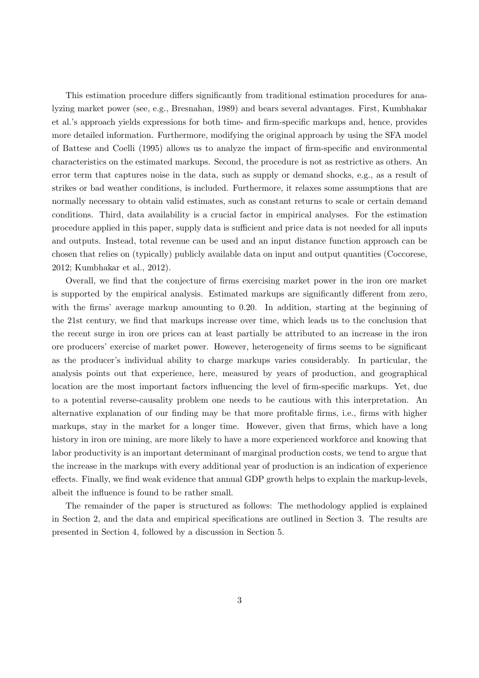This estimation procedure differs significantly from traditional estimation procedures for analyzin[g market power \(see, e.g.,](#page-24-0) [Bresnahan](#page-23-6)[,](#page-24-0) [1989](#page-23-6)[\) and bears several advantages. First,](#page-24-0) Kumbhakar et al.'s approach yields expressions for both time- and firm-specific markups and, hence, provides more detailed information. Furthermore, modifying the original approach by using the SFA model of [Battese and Coelli \(1995](#page-23-7)) allows us to analyze the impact of firm-specific and environmental characteristics on the estimated markups. Second, the procedure is not as restrictive as others. An error term that captures noise in the data, such as supply or demand shocks, e.g., as a result of strikes or bad weather conditions, is included. Furthermore, it relaxes some assumptions that are normally necessary to obtain valid estimates, such as constant returns to scale or certain demand conditions. Third, data availability is a crucial factor in empirical analyses. For the estimation procedure applied in this paper, supply data is sufficient and price data is not needed for all inputs and outputs. Instead, total revenue can be used and an input distance function approach can be chosen that relies on (typically) publicly available data on input and output quantities [\(Coccorese,](#page-23-8) [2012](#page-23-8); [Kumbhakar et al., 2012](#page-24-0)).

Overall, we find that the conjecture of firms exercising market power in the iron ore market is supported by the empirical analysis. Estimated markups are significantly different from zero, with the firms' average markup amounting to 0.20. In addition, starting at the beginning of the 21st century, we find that markups increase over time, which leads us to the conclusion that the recent surge in iron ore prices can at least partially be attributed to an increase in the iron ore producers' exercise of market power. However, heterogeneity of firms seems to be significant as the producer's individual ability to charge markups varies considerably. In particular, the analysis points out that experience, here, measured by years of production, and geographical location are the most important factors influencing the level of firm-specific markups. Yet, due to a potential reverse-causality problem one needs to be cautious with this interpretation. An alternative explanation of our finding may be that more profitable firms, i.e., firms with higher markups, stay in the market for a longer time. However, given that firms, which have a long history in iron ore mining, are more likely to have a more experienced workforce and knowing that labor productivity is an important determinant of marginal production costs, we tend to argue that the increase in the markups with every additional year of production is an indication of experience effects. Finally, we find weak evidence that annual GDP growth helps to explain the markup-levels, albeit the influence is found to be rather small.

The remainder of the paper is structured as follows: The methodology applied is explained in Section 2, and the data and empirical specifications are outlined in Section 3. The results are presented in Section 4, followed by a discussion in Section 5.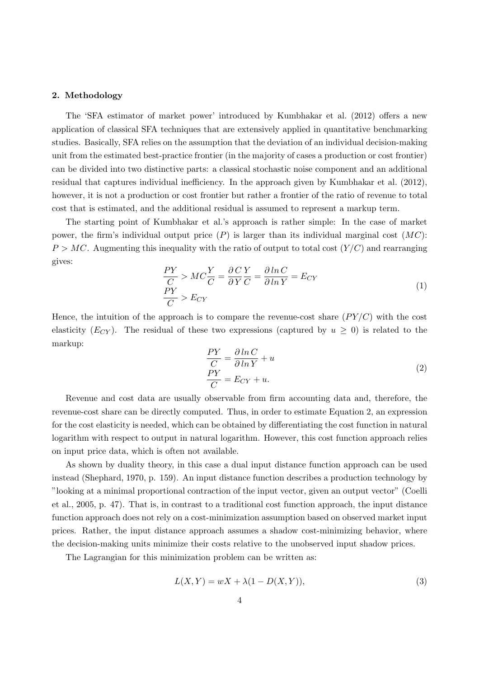#### <span id="page-5-1"></span>2. Methodology

The 'SFA estimator of market power' introduced by [Kumbhakar](#page-24-0) et al. [\(2012\)](#page-24-0) offers a new application of classical SFA techniques that are extensively applied in quantitative benchmarking studies. Basically, SFA relies on the assumption that the deviation of an individual decision-making unit from the estimated best-practice frontier (in the majority of cases a production or cost frontier) can be divided into two distinctive parts: a classical stochastic noise component and an additional residual that captures individual inefficiency. In the approach given by [Kumbhakar et al. \(2012](#page-24-0)), however, it is not a production or cost frontier but rather a frontier of the ratio of revenue to total cost that is estimated, and the additional residual is assumed to represent a markup term.

The starting point of Kumbhakar et al.'s approach is rather simple: In the case of market power, the firm's individual output price  $(P)$  is larger than its individual marginal cost  $(MC)$ :  $P > MC$ . Augmenting this inequality with the ratio of output to total cost  $(Y/C)$  and rearranging gives:

$$
\frac{PY}{C} > MC\frac{Y}{C} = \frac{\partial C}{\partial Y}\frac{Y}{C} = \frac{\partial \ln C}{\partial \ln Y} = E_{CY}
$$
\n
$$
\frac{PY}{C} > E_{CY}
$$
\n(1)

Hence, the intuition of the approach is to compare the revenue-cost share  $(PY/C)$  with the cost elasticity  $(E_{CY})$ . The residual of these two expressions (captured by  $u \ge 0$ ) is related to the markup:

<span id="page-5-0"></span>
$$
\frac{PY}{C} = \frac{\partial \ln C}{\partial \ln Y} + u
$$
  
\n
$$
\frac{PY}{C} = E_{CY} + u.
$$
\n(2)

Revenue and cost data are usually observable from firm accounting data and, therefore, the revenue-cost share can be directly computed. Thus, in order to estimate Equation [2,](#page-5-0) an expression for the cost elasticity is needed, which can be obtained by differentiating the cost function in natural logarithm with respect to output in natural logarithm. However, this cost function approach relies on input price data, which is often not available.

As shown by duality theory, in this case a dual input distance function approach can be used instead [\(Shephard, 1970](#page-24-8), p. 159). An input distance function describes a production technology by "loo[king at a minimal proportional contraction of the input](#page-23-9) vector, given an output vector" (Coelli et al., [2005,](#page-23-9) p. 47). That is, in contrast to a traditional cost function approach, the input distance function approach does not rely on a cost-minimization assumption based on observed market input prices. Rather, the input distance approach assumes a shadow cost-minimizing behavior, where the decision-making units minimize their costs relative to the unobserved input shadow prices.

The Lagrangian for this minimization problem can be written as:

$$
L(X,Y) = wX + \lambda(1 - D(X,Y)),\tag{3}
$$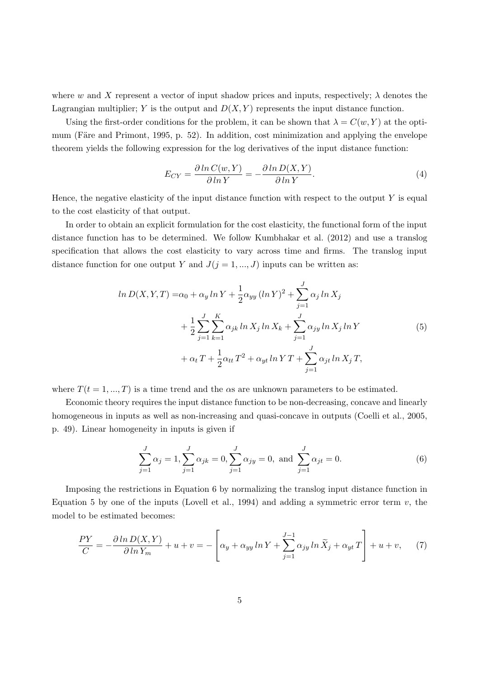where w and X represent a vector of input shadow prices and inputs, respectively;  $\lambda$  denotes the Lagrangian multiplier; Y is the output and  $D(X, Y)$  represents the input distance function.

Using the first-order conditions for the problem, it can be shown that  $\lambda = C(w, Y)$  at the optimum (Färe and Primont, 1995, p. 52). In addition, cost minimization and applying the envelope theorem yields the following expression for the log derivatives of the input distance function:

$$
E_{CY} = \frac{\partial \ln C(w, Y)}{\partial \ln Y} = -\frac{\partial \ln D(X, Y)}{\partial \ln Y}.
$$
\n(4)

Hence, the negative elasticity of the input distance function with respect to the output  $Y$  is equal to the cost elasticity of that output.

In order to obtain an explicit formulation for the cost elasticity, the functional form of the input distance function has to be determined. We follow [Kumbhakar](#page-24-0) et al. [\(2012](#page-24-0)) and use a translog specification that allows the cost elasticity to vary across time and firms. The translog input distance function for one output Y and  $J(j = 1, ..., J)$  inputs can be written as:

<span id="page-6-1"></span>
$$
\ln D(X, Y, T) = \alpha_0 + \alpha_y \ln Y + \frac{1}{2} \alpha_{yy} (\ln Y)^2 + \sum_{j=1}^J \alpha_j \ln X_j + \frac{1}{2} \sum_{j=1}^J \sum_{k=1}^K \alpha_{jk} \ln X_j \ln X_k + \sum_{j=1}^J \alpha_{jy} \ln X_j \ln Y + \alpha_t T + \frac{1}{2} \alpha_{tt} T^2 + \alpha_{yt} \ln Y T + \sum_{j=1}^J \alpha_{jt} \ln X_j T,
$$
\n(5)

where  $T(t = 1, ..., T)$  is a time trend and the  $\alpha s$  are unknown parameters to be estimated.

Economic theory requires the input distance function to be non-decreasing, concave and linearly homogeneous in inputs as well as non-increasing and quasi-concave in outputs [\(Coelli et al.](#page-23-9), [2005,](#page-23-9) p. 49). Linear homogeneity in inputs is given if

<span id="page-6-0"></span>
$$
\sum_{j=1}^{J} \alpha_j = 1, \sum_{j=1}^{J} \alpha_{jk} = 0, \sum_{j=1}^{J} \alpha_{jy} = 0, \text{ and } \sum_{j=1}^{J} \alpha_{jt} = 0.
$$
 (6)

Imposing the restrictions in Equation [6](#page-6-0) by normalizing the translog input distance function in Equation [5](#page-6-1) by one of the inputs [\(Lovell et al., 1994](#page-24-9)) and adding a symmetric error term  $v$ , the model to be estimated becomes:

$$
\frac{PY}{C} = -\frac{\partial \ln D(X, Y)}{\partial \ln Y_m} + u + v = -\left[\alpha_y + \alpha_{yy} \ln Y + \sum_{j=1}^{J-1} \alpha_{jy} \ln \widetilde{X}_j + \alpha_{yt} T\right] + u + v,\tag{7}
$$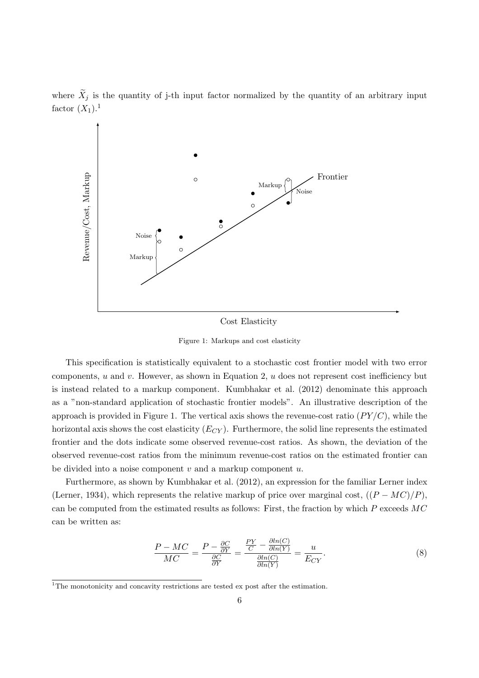where  $\widetilde{X}_j$  is the quantity of j-th input factor normalized by the quantity of an arbitrary input factor  $(X_1)$  $(X_1)$  $(X_1)$ .<sup>1</sup>



Cost Elasticity

Figure 1: Markups and cost elasticity

This specification is statistically equivalent to a stochastic cost frontier model with two error components,  $u$  and  $v$ . However, as shown in Equation [2,](#page-5-0)  $u$  does not represent cost inefficiency but is instead related to a markup component. [Kumbhakar et al. \(2012\)](#page-24-0) denominate this approach as a "non-standard application of stochastic frontier models". An illustrative description of the approach is provided in Figure 1. The vertical axis shows the revenue-cost ratio  $(PY/C)$ , while the horizontal axis shows the cost elasticity  $(E_{CY})$ . Furthermore, the solid line represents the estimated frontier and the dots indicate some observed revenue-cost ratios. As shown, the deviation of the observed revenue-cost ratios from the minimum revenue-cost ratios on the estimated frontier can be divided into a noise component  $v$  and a markup component  $u$ .

Furthermore, as shown by [Kumbhakar et al. \(2012](#page-24-0)), an expression for the familiar Lerner index [\(Lerner, 1934](#page-24-10)), which represents the relative markup of price over marginal cost,  $((P - MC)/P)$ , can be computed from the estimated results as follows: First, the fraction by which P exceeds MC can be written as:

$$
\frac{P - MC}{MC} = \frac{P - \frac{\partial C}{\partial Y}}{\frac{\partial C}{\partial Y}} = \frac{\frac{PY}{C} - \frac{\partial ln(C)}{\partial ln(Y)}}{\frac{\partial ln(C)}{\partial ln(Y)}} = \frac{u}{E_{CY}}.
$$
\n(8)

<span id="page-7-0"></span><sup>&</sup>lt;sup>1</sup>The monotonicity and concavity restrictions are tested ex post after the estimation.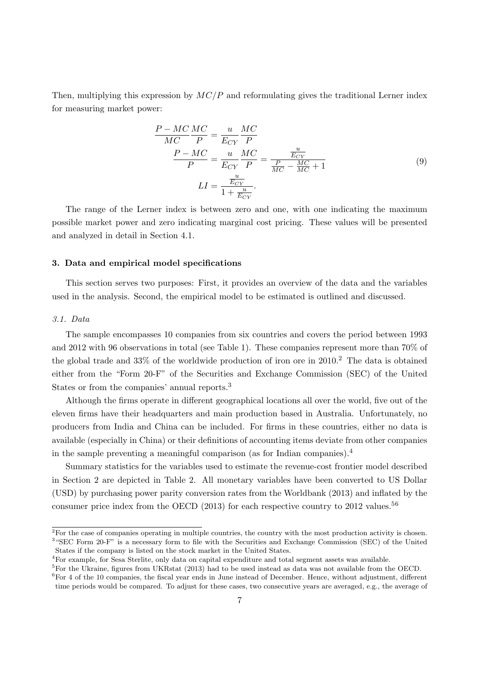Then, multiplying this expression by  $MC/P$  and reformulating gives the traditional Lerner index for measuring market power:

<span id="page-8-6"></span>
$$
\frac{P - MC}{MC} \frac{MC}{P} = \frac{u}{E_{CY}} \frac{MC}{P}
$$
\n
$$
\frac{P - MC}{P} = \frac{u}{E_{CY}} \frac{MC}{P} = \frac{\frac{u}{E_{CY}}}{\frac{P}{MC} - \frac{MC}{MC} + 1}
$$
\n
$$
LI = \frac{\frac{u}{E_{CY}}}{1 + \frac{u}{E_{CY}}}.
$$
\n(9)

The range of the Lerner index is between zero and one, with one indicating the maximum possible market power and zero indicating marginal cost pricing. These values will be presented and analyzed in detail in Section [4.1.](#page-13-0)

#### 3. Data and empirical model specifications

This section serves two purposes: First, it provides an overview of the data and the variables used in the analysis. Second, the empirical model to be estimated is outlined and discussed.

#### <span id="page-8-5"></span>*3.1. Data*

The sample encompasses 10 companies from six countries and covers the period between 1993 and 2012 with 96 observations in total (see Table [1\)](#page-9-0). These companies represent more than 70% of the global trade and  $33\%$  of the worldwide production of iron ore in  $2010<sup>2</sup>$  $2010<sup>2</sup>$ . The data is obtained either from the "Form 20-F" of the Securities and Exchange Commission (SEC) of the United States or from the companies' annual reports.[3](#page-8-1)

Although the firms operate in different geographical locations all over the world, five out of the eleven firms have their headquarters and main production based in Australia. Unfortunately, no producers from India and China can be included. For firms in these countries, either no data is available (especially in China) or their definitions of accounting items deviate from other companies in the sample preventing a meaningful comparison (as for Indian companies).[4](#page-8-2)

Summary statistics for the variables used to estimate the revenue-cost frontier model described in Section [2](#page-5-1) are depicted in Table [2.](#page-9-1) All monetary variables have been converted to US Dollar (USD) by purchasing power parity conversion rates from the [Worldbank \(2013](#page-24-11)) and inflated by the consumer price index from the OECD  $(2013)$  for each respective country to 2012 values.<sup>[5](#page-8-3)[6](#page-8-4)</sup>

<span id="page-8-0"></span> $\overline{^{2}$  For the case of companies operating in multiple countries, the country with the most production activity is chosen. <sup>3</sup> "SEC Form 20-F" is a necessary form to file with the Securities and Exchange Commission (SEC) of the United States if the company is listed on the stock market in the United States.

<span id="page-8-1"></span><sup>4</sup>For example, for Sesa Sterlite, only data on capital expenditure and total segment assets was available.

<span id="page-8-2"></span><sup>&</sup>lt;sup>5</sup>For the Ukraine, figures from [UKRstat \(2013\)](#page-24-13) had to be used instead as data was not available from the OECD.

<span id="page-8-4"></span><span id="page-8-3"></span> ${}^{6}$ For 4 of the 10 companies, the fiscal year ends in June instead of December. Hence, without adjustment, different time periods would be compared. To adjust for these cases, two consecutive years are averaged, e.g., the average of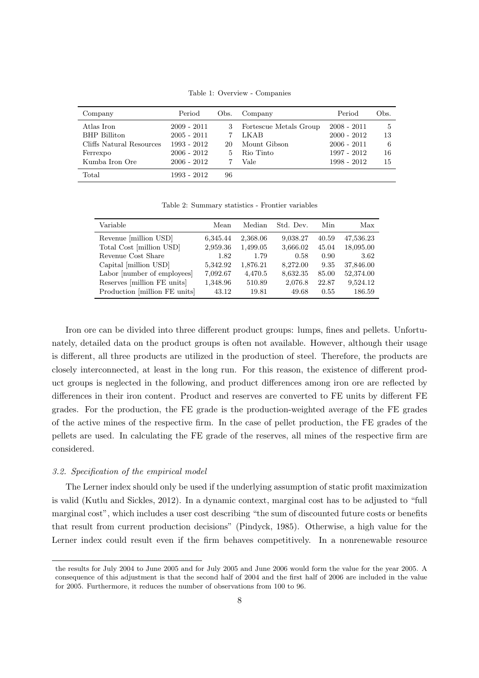Table 1: Overview - Companies

<span id="page-9-0"></span>

| Company                  | Period        | Obs. | Company                | Period        | Obs. |
|--------------------------|---------------|------|------------------------|---------------|------|
| Atlas Iron               | $2009 - 2011$ |      | Fortescue Metals Group | $2008 - 2011$ | 5    |
| <b>BHP</b> Billiton      | $2005 - 2011$ |      | LKAB                   | $2000 - 2012$ | 13   |
| Cliffs Natural Resources | 1993 - 2012   | 20   | Mount Gibson           | $2006 - 2011$ | 6    |
| Ferrexpo                 | $2006 - 2012$ | 5.   | Rio Tinto              | 1997 - 2012   | 16   |
| Kumba Iron Ore           | $2006 - 2012$ |      | Vale                   | $1998 - 2012$ | 15   |
| Total                    | 1993 - 2012   | 96   |                        |               |      |

Table 2: Summary statistics - Frontier variables

<span id="page-9-1"></span>

| Variable                      | Mean     | Median   | Std. Dev. | Min   | Max       |
|-------------------------------|----------|----------|-----------|-------|-----------|
| Revenue [million USD]         | 6,345.44 | 2,368.06 | 9,038.27  | 40.59 | 47,536.23 |
| Total Cost [million USD]      | 2,959.36 | 1,499.05 | 3,666.02  | 45.04 | 18,095.00 |
| Revenue Cost Share            | 1.82     | 1.79     | 0.58      | 0.90  | 3.62      |
| Capital [million USD]         | 5,342.92 | 1,876.21 | 8,272.00  | 9.35  | 37,846.00 |
| Labor [number of employees]   | 7,092.67 | 4,470.5  | 8,632.35  | 85.00 | 52,374.00 |
| Reserves [million FE units]   | 1,348.96 | 510.89   | 2,076.8   | 22.87 | 9,524.12  |
| Production [million FE units] | 43.12    | 19.81    | 49.68     | 0.55  | 186.59    |

Iron ore can be divided into three different product groups: lumps, fines and pellets. Unfortunately, detailed data on the product groups is often not available. However, although their usage is different, all three products are utilized in the production of steel. Therefore, the products are closely interconnected, at least in the long run. For this reason, the existence of different product groups is neglected in the following, and product differences among iron ore are reflected by differences in their iron content. Product and reserves are converted to FE units by different FE grades. For the production, the FE grade is the production-weighted average of the FE grades of the active mines of the respective firm. In the case of pellet production, the FE grades of the pellets are used. In calculating the FE grade of the reserves, all mines of the respective firm are considered.

#### <span id="page-9-2"></span>*3.2. Specification of the empirical model*

The Lerner index should only be used if the underlying assumption of static profit maximization is valid [\(Kutlu and Sickles, 2012](#page-24-14)). In a dynamic context, marginal cost has to be adjusted to "full marginal cost", which includes a user cost describing "the sum of discounted future costs or benefits that result from current production decisions" [\(Pindyck, 1985\)](#page-24-15). Otherwise, a high value for the Lerner index could result even if the firm behaves competitively. In a nonrenewable resource

the results for July 2004 to June 2005 and for July 2005 and June 2006 would form the value for the year 2005. A consequence of this adjustment is that the second half of 2004 and the first half of 2006 are included in the value for 2005. Furthermore, it reduces the number of observations from 100 to 96.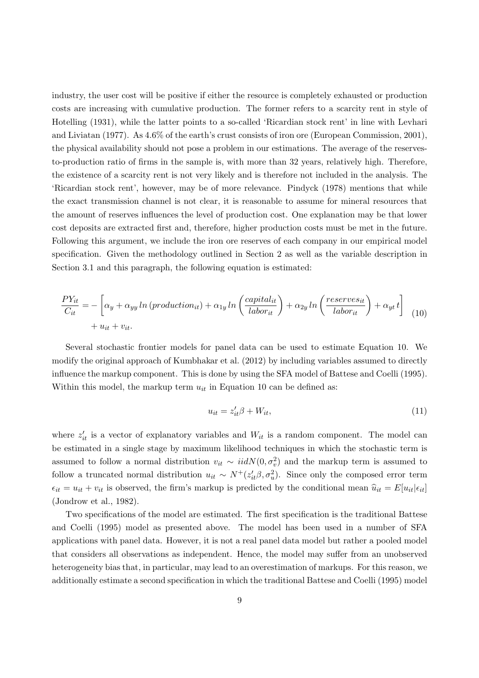industry, the user cost will be positive if either the resource is completely exhausted or production costs are increasing with cumulative production. The former refers to a scarcity rent in style of [Hotelling \(1931](#page-23-11)[\), while the latter points to a so-called 'Ricardian stock rent' in line with](#page-24-16) Levhari and Liviatan [\(1977](#page-24-16)). As 4.6% of the earth's crust consists of iron ore [\(European Commission, 2001](#page-23-12)), the physical availability should not pose a problem in our estimations. The average of the reservesto-production ratio of firms in the sample is, with more than 32 years, relatively high. Therefore, the existence of a scarcity rent is not very likely and is therefore not included in the analysis. The 'Ricardian stock rent', however, may be of more relevance. [Pindyck \(1978\)](#page-24-17) mentions that while the exact transmission channel is not clear, it is reasonable to assume for mineral resources that the amount of reserves influences the level of production cost. One explanation may be that lower cost deposits are extracted first and, therefore, higher production costs must be met in the future. Following this argument, we include the iron ore reserves of each company in our empirical model specification. Given the methodology outlined in Section [2](#page-5-1) as well as the variable description in Section [3.1](#page-8-5) and this paragraph, the following equation is estimated:

<span id="page-10-0"></span>
$$
\frac{PY_{it}}{C_{it}} = -\left[\alpha_y + \alpha_{yy} \ln\left(\text{production}_{it}\right) + \alpha_{1y} \ln\left(\frac{\text{capital}_{it}}{\text{labor}_{it}}\right) + \alpha_{2y} \ln\left(\frac{\text{reserves}_{it}}{\text{labor}_{it}}\right) + \alpha_{yt} t\right] \tag{10}
$$
\n
$$
+ u_{it} + v_{it}.
$$

Several stochastic frontier models for panel data can be used to estimate Equation [10.](#page-10-0) We modify the original approach of [Kumbhakar et al. \(2012](#page-24-0)) by including variables assumed to directly influence the markup component. This is done by using the SFA model of [Battese and Coelli \(1995](#page-23-7)). Within this model, the markup term  $u_{it}$  in Equation [10](#page-10-0) can be defined as:

<span id="page-10-1"></span>
$$
u_{it} = z_{it}'\beta + W_{it},\tag{11}
$$

where  $z'_{it}$  is a vector of explanatory variables and  $W_{it}$  is a random component. The model can be estimated in a single stage by maximum likelihood techniques in which the stochastic term is assumed to follow a normal distribution  $v_{it} \sim \text{iid}N(0, \sigma_v^2)$  and the markup term is assumed to follow a truncated normal distribution  $u_{it} \sim N^+(z_{it}^{\prime} \beta, \sigma_u^2)$ . Since only the composed error term  $\epsilon_{it} = u_{it} + v_{it}$  is observed, the firm's markup is predicted by the conditional mean  $\hat{u}_{it} = E[u_{it}|\epsilon_{it}]$ [\(Jondrow et al.](#page-23-13), [1982\)](#page-23-13).

Two s[pecifications of the model are estimated. The first specification is the traditional](#page-23-7) Battese and Coelli [\(1995](#page-23-7)) model as presented above. The model has been used in a number of SFA applications with panel data. However, it is not a real panel data model but rather a pooled model that considers all observations as independent. Hence, the model may suffer from an unobserved heterogeneity bias that, in particular, may lead to an overestimation of markups. For this reason, we additionally estimate a second specification in which the traditional [Battese and Coelli \(1995](#page-23-7)) model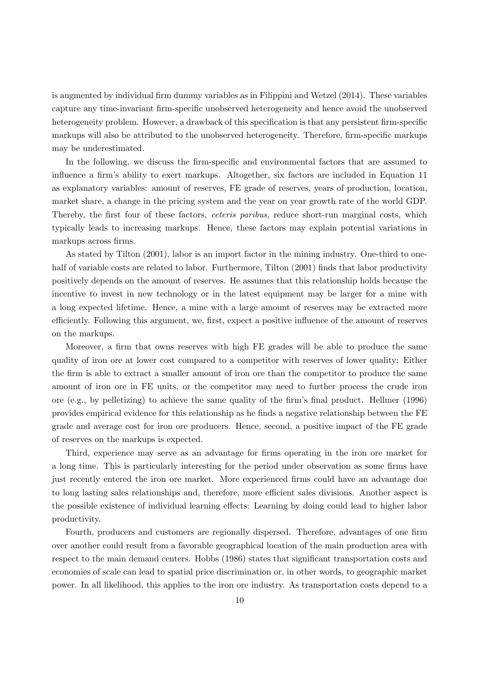is augmented by individual firm dummy variables as in [Filippini and Wetzel \(2014\)](#page-23-14). These variables capture any time-invariant firm-specific unobserved heterogeneity and hence avoid the unobserved heterogeneity problem. However, a drawback of this specification is that any persistent firm-specific markups will also be attributed to the unobserved heterogeneity. Therefore, firm-specific markups may be underestimated.

In the following, we discuss the firm-specific and environmental factors that are assumed to influence a firm's ability to exert markups. Altogether, six factors are included in Equation [11](#page-10-1) as explanatory variables: amount of reserves, FE grade of reserves, years of production, location, market share, a change in the pricing system and the year on year growth rate of the world GDP. Thereby, the first four of these factors, *ceteris paribus*, reduce short-run marginal costs, which typically leads to increasing markups. Hence, these factors may explain potential variations in markups across firms.

As stated by [Tilton \(2001\)](#page-24-18), labor is an import factor in the mining industry. One-third to onehalf of variable costs are related to labor. Furthermore, [Tilton \(2001\)](#page-24-18) finds that labor productivity positively depends on the amount of reserves. He assumes that this relationship holds because the incentive to invest in new technology or in the latest equipment may be larger for a mine with a long expected lifetime. Hence, a mine with a large amount of reserves may be extracted more efficiently. Following this argument, we, first, expect a positive influence of the amount of reserves on the markups.

Moreover, a firm that owns reserves with high FE grades will be able to produce the same quality of iron ore at lower cost compared to a competitor with reserves of lower quality: Either the firm is able to extract a smaller amount of iron ore than the competitor to produce the same amount of iron ore in FE units, or the competitor may need to further process the crude iron ore (e.g., by pelletizing) to achieve the same quality of the firm's final product. [Hellmer \(1996\)](#page-23-15) provides empirical evidence for this relationship as he finds a negative relationship between the FE grade and average cost for iron ore producers. Hence, second, a positive impact of the FE grade of reserves on the markups is expected.

Third, experience may serve as an advantage for firms operating in the iron ore market for a long time. This is particularly interesting for the period under observation as some firms have just recently entered the iron ore market. More experienced firms could have an advantage due to long lasting sales relationships and, therefore, more efficient sales divisions. Another aspect is the possible existence of individual learning effects: Learning by doing could lead to higher labor productivity.

Fourth, producers and customers are regionally dispersed. Therefore, advantages of one firm over another could result from a favorable geographical location of the main production area with respect to the main demand centers. [Hobbs \(1986](#page-23-16)) states that significant transportation costs and economies of scale can lead to spatial price discrimination or, in other words, to geographic market power. In all likelihood, this applies to the iron ore industry. As transportation costs depend to a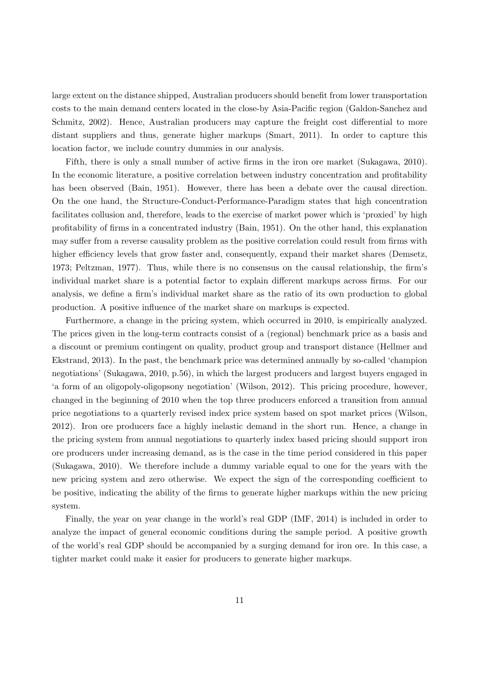large extent on the distance shipped, Australian producers should benefit from lower transportation costs to [the main demand centers located in the close-by Asia-Pacific region \(](#page-23-17)Galdon-Sanchez and Schmitz, [2002](#page-23-17)). Hence, Australian producers may capture the freight cost differential to more distant suppliers and thus, generate higher markups [\(Smart](#page-24-7), [2011](#page-24-7)). In order to capture this location factor, we include country dummies in our analysis.

Fifth, there is only a small number of active firms in the iron ore market [\(Sukagawa](#page-24-19), [2010](#page-24-19)). In the economic literature, a positive correlation between industry concentration and profitability has been observed [\(Bain, 1951\)](#page-23-18). However, there has been a debate over the causal direction. On the one hand, the Structure-Conduct-Performance-Paradigm states that high concentration facilitates collusion and, therefore, leads to the exercise of market power which is 'proxied' by high profitability of firms in a concentrated industry [\(Bain](#page-23-18), [1951](#page-23-18)). On the other hand, this explanation may suffer from a reverse causality problem as the positive correlation could result from firms with higher efficiency levels that grow faster and, consequently, expand their market shares [\(Demsetz,](#page-23-19) [1973](#page-23-19); [Peltzman, 1977\)](#page-24-20). Thus, while there is no consensus on the causal relationship, the firm's individual market share is a potential factor to explain different markups across firms. For our analysis, we define a firm's individual market share as the ratio of its own production to global production. A positive influence of the market share on markups is expected.

Furthermore, a change in the pricing system, which occurred in 2010, is empirically analyzed. The prices given in the long-term contracts consist of a (regional) benchmark price as a basis and a discou[nt or premium contingent on quality, product group and transport distance \(](#page-23-20)Hellmer and Ekstrand, [2013\)](#page-23-20). In the past, the benchmark price was determined annually by so-called 'champion negotiations' [\(Sukagawa](#page-24-19), [2010](#page-24-19), p.56), in which the largest producers and largest buyers engaged in 'a form of an oligopoly-oligopsony negotiation' [\(Wilson](#page-24-3), [2012](#page-24-3)). This pricing procedure, however, changed in the beginning of 2010 when the top three producers enforced a transition from annual price negotiations to a quarterly revised index price system based on spot market prices [\(Wilson,](#page-24-3) [2012](#page-24-3)). Iron ore producers face a highly inelastic demand in the short run. Hence, a change in the pricing system from annual negotiations to quarterly index based pricing should support iron ore producers under increasing demand, as is the case in the time period considered in this paper [\(Sukagawa](#page-24-19), [2010\)](#page-24-19). We therefore include a dummy variable equal to one for the years with the new pricing system and zero otherwise. We expect the sign of the corresponding coefficient to be positive, indicating the ability of the firms to generate higher markups within the new pricing system.

Finally, the year on year change in the world's real GDP [\(IMF](#page-23-21), [2014](#page-23-21)) is included in order to analyze the impact of general economic conditions during the sample period. A positive growth of the world's real GDP should be accompanied by a surging demand for iron ore. In this case, a tighter market could make it easier for producers to generate higher markups.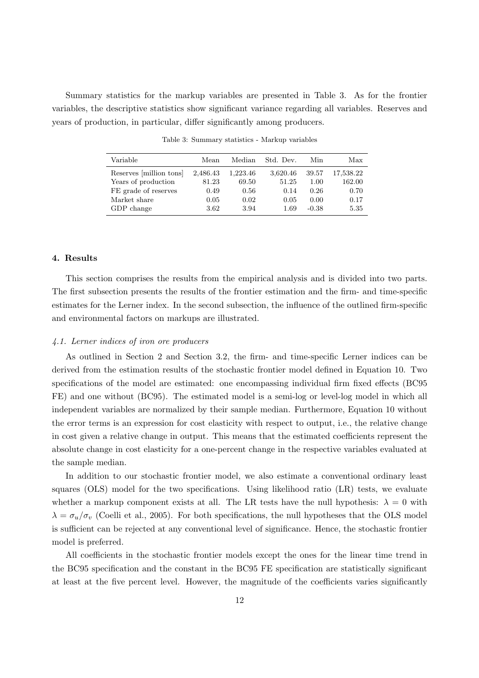<span id="page-13-1"></span>Summary statistics for the markup variables are presented in Table [3.](#page-13-1) As for the frontier variables, the descriptive statistics show significant variance regarding all variables. Reserves and years of production, in particular, differ significantly among producers.

| Variable                | Mean     | Median   | Std. Dev. | Min     | Max       |
|-------------------------|----------|----------|-----------|---------|-----------|
| Reserves [million tons] | 2,486.43 | 1,223.46 | 3,620.46  | 39.57   | 17,538.22 |
| Years of production     | 81.23    | 69.50    | 51.25     | 1.00    | 162.00    |
| FE grade of reserves    | 0.49     | 0.56     | 0.14      | 0.26    | 0.70      |
| Market share            | 0.05     | 0.02     | 0.05      | 0.00    | 0.17      |
| GDP change              | 3.62     | 3.94     | 1.69      | $-0.38$ | 5.35      |

Table 3: Summary statistics - Markup variables

#### 4. Results

This section comprises the results from the empirical analysis and is divided into two parts. The first subsection presents the results of the frontier estimation and the firm- and time-specific estimates for the Lerner index. In the second subsection, the influence of the outlined firm-specific and environmental factors on markups are illustrated.

#### <span id="page-13-0"></span>*4.1. Lerner indices of iron ore producers*

As outlined in Section [2](#page-5-1) and Section [3.2,](#page-9-2) the firm- and time-specific Lerner indices can be derived from the estimation results of the stochastic frontier model defined in Equation [10.](#page-10-0) Two specifications of the model are estimated: one encompassing individual firm fixed effects (BC95 FE) and one without (BC95). The estimated model is a semi-log or level-log model in which all independent variables are normalized by their sample median. Furthermore, Equation [10](#page-10-0) without the error terms is an expression for cost elasticity with respect to output, i.e., the relative change in cost given a relative change in output. This means that the estimated coefficients represent the absolute change in cost elasticity for a one-percent change in the respective variables evaluated at the sample median.

In addition to our stochastic frontier model, we also estimate a conventional ordinary least squares (OLS) model for the two specifications. Using likelihood ratio (LR) tests, we evaluate whether a markup component exists at all. The LR tests have the null hypothesis:  $\lambda = 0$  with  $\lambda = \sigma_u/\sigma_v$  [\(Coelli et al.](#page-23-9), [2005\)](#page-23-9). For both specifications, the null hypotheses that the OLS model is sufficient can be rejected at any conventional level of significance. Hence, the stochastic frontier model is preferred.

All coefficients in the stochastic frontier models except the ones for the linear time trend in the BC95 specification and the constant in the BC95 FE specification are statistically significant at least at the five percent level. However, the magnitude of the coefficients varies significantly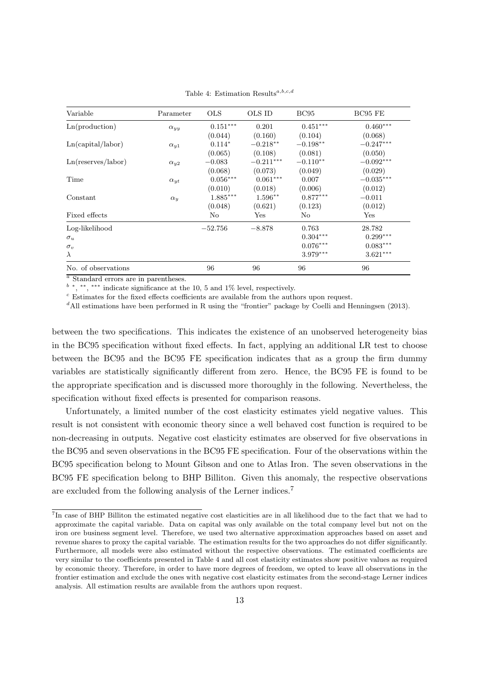<span id="page-14-1"></span>

| Variable            | Parameter     | <b>OLS</b>             | OLS ID                 | BC95       | BC95 FE     |
|---------------------|---------------|------------------------|------------------------|------------|-------------|
| Ln(production)      | $\alpha_{yy}$ | $0.151^{\ast\ast\ast}$ | 0.201                  | $0.451***$ | $0.460***$  |
|                     |               | (0.044)                | (0.160)                | (0.104)    | (0.068)     |
| Ln(capital/labor)   | $\alpha_{u1}$ | $0.114*$               | $-0.218**$             | $-0.198**$ | $-0.247***$ |
|                     |               | (0.065)                | (0.108)                | (0.081)    | (0.050)     |
| Ln(reserves/labor)  | $\alpha_{u2}$ | $-0.083$               | $-0.211***$            | $-0.110**$ | $-0.092***$ |
|                     |               | (0.068)                | (0.073)                | (0.049)    | (0.029)     |
| Time                | $\alpha_{yt}$ | $0.056^{***}\,$        | $0.061^{\ast\ast\ast}$ | 0.007      | $-0.035***$ |
|                     |               | (0.010)                | (0.018)                | (0.006)    | (0.012)     |
| Constant            | $\alpha_{u}$  | $1.885^{\ast\ast\ast}$ | $1.596^{\ast\ast}$     | $0.877***$ | $-0.011$    |
|                     |               | (0.048)                | (0.621)                | (0.123)    | (0.012)     |
| Fixed effects       |               | No                     | Yes                    | No         | Yes         |
| Log-likelihood      |               | $-52.756$              | $-8.878$               | 0.763      | 28.782      |
| $\sigma_u$          |               |                        |                        | $0.304***$ | $0.299***$  |
| $\sigma_v$          |               |                        |                        | $0.076***$ | $0.083***$  |
| $\lambda$           |               |                        |                        | $3.979***$ | $3.621***$  |
| No. of observations |               | 96                     | 96                     | 96         | 96          |

Table 4: Estimation Results<sup>a,b,c,d</sup>

 $a$  Standard errors are in parentheses.

 $b^*$ , \*\*, \*\*\* indicate significance at the 10, 5 and 1% level, respectively.

 $c$  Estimates for the fixed effects coefficients are available from the authors upon request.

<sup>d</sup>All estimations have been performed in R using the "frontier" package by [Coelli and Henningsen \(2013](#page-23-22)).

between the two specifications. This indicates the existence of an unobserved heterogeneity bias in the BC95 specification without fixed effects. In fact, applying an additional LR test to choose between the BC95 and the BC95 FE specification indicates that as a group the firm dummy variables are statistically significantly different from zero. Hence, the BC95 FE is found to be the appropriate specification and is discussed more thoroughly in the following. Nevertheless, the specification without fixed effects is presented for comparison reasons.

Unfortunately, a limited number of the cost elasticity estimates yield negative values. This result is not consistent with economic theory since a well behaved cost function is required to be non-decreasing in outputs. Negative cost elasticity estimates are observed for five observations in the BC95 and seven observations in the BC95 FE specification. Four of the observations within the BC95 specification belong to Mount Gibson and one to Atlas Iron. The seven observations in the BC95 FE specification belong to BHP Billiton. Given this anomaly, the respective observations are excluded from the following analysis of the Lerner indices.[7](#page-14-0)

<span id="page-14-0"></span><sup>&</sup>lt;sup>7</sup>In case of BHP Billiton the estimated negative cost elasticities are in all likelihood due to the fact that we had to approximate the capital variable. Data on capital was only available on the total company level but not on the iron ore business segment level. Therefore, we used two alternative approximation approaches based on asset and revenue shares to proxy the capital variable. The estimation results for the two approaches do not differ significantly. Furthermore, all models were also estimated without the respective observations. The estimated coefficients are very similar to the coefficients presented in Table [4](#page-14-1) and all cost elasticity estimates show positive values as required by economic theory. Therefore, in order to have more degrees of freedom, we opted to leave all observations in the frontier estimation and exclude the ones with negative cost elasticity estimates from the second-stage Lerner indices analysis. All estimation results are available from the authors upon request.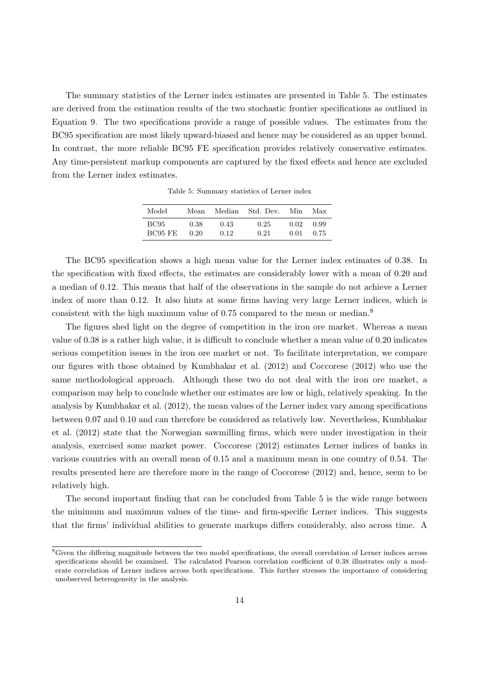<span id="page-15-0"></span>The summary statistics of the Lerner index estimates are presented in Table [5.](#page-15-0) The estimates are derived from the estimation results of the two stochastic frontier specifications as outlined in Equation [9.](#page-8-6) The two specifications provide a range of possible values. The estimates from the BC95 specification are most likely upward-biased and hence may be considered as an upper bound. In contrast, the more reliable BC95 FE specification provides relatively conservative estimates. Any time-persistent markup components are captured by the fixed effects and hence are excluded from the Lerner index estimates.

| Model          | Mean | Median | Std. Dev. | Min  | Max  |
|----------------|------|--------|-----------|------|------|
| <b>BC95</b>    | 0.38 | 0.43   | 0.25      | 0.02 | 0.99 |
| <b>BC95 FE</b> | 0.20 | 0.12   | 0.21      | 0.01 | 0.75 |

Table 5: Summary statistics of Lerner index

The BC95 specification shows a high mean value for the Lerner index estimates of 0.38. In the specification with fixed effects, the estimates are considerably lower with a mean of 0.20 and a median of 0.12. This means that half of the observations in the sample do not achieve a Lerner index of more than 0.12. It also hints at some firms having very large Lerner indices, which is consistent with the high maximum value of 0.75 compared to the mean or median.[8](#page-15-1)

The figures shed light on the degree of competition in the iron ore market. Whereas a mean value of 0.38 is a rather high value, it is difficult to conclude whether a mean value of 0.20 indicates serious competition issues in the iron ore market or not. To facilitate interpretation, we compare our figures with those obtained by [Kumbhakar et al. \(2012](#page-24-0)) and [Coccorese \(2012\)](#page-23-8) who use the same methodological approach. Although these two do not deal with the iron ore market, a comparison may help to conclude whether our estimates are low or high, relatively speaking. In the analysis by [Kumbhakar et al. \(2012\)](#page-24-0), the mean values of the Lerner index vary among specifications betw[een 0.07 and 0.10 and can therefore be considered as relatively low. Nevertheless,](#page-24-0) Kumbhakar et al. [\(2012\)](#page-24-0) state that the Norwegian sawmilling firms, which were under investigation in their analysis, exercised some market power. [Coccorese \(2012](#page-23-8)) estimates Lerner indices of banks in various countries with an overall mean of 0.15 and a maximum mean in one country of 0.54. The results presented here are therefore more in the range of [Coccorese \(2012\)](#page-23-8) and, hence, seem to be relatively high.

The second important finding that can be concluded from Table [5](#page-15-0) is the wide range between the minimum and maximum values of the time- and firm-specific Lerner indices. This suggests that the firms' individual abilities to generate markups differs considerably, also across time. A

<span id="page-15-1"></span><sup>&</sup>lt;sup>8</sup>Given the differing magnitude between the two model specifications, the overall correlation of Lerner indices across specifications should be examined. The calculated Pearson correlation coefficient of 0.38 illustrates only a moderate correlation of Lerner indices across both specifications. This further stresses the importance of considering unobserved heterogeneity in the analysis.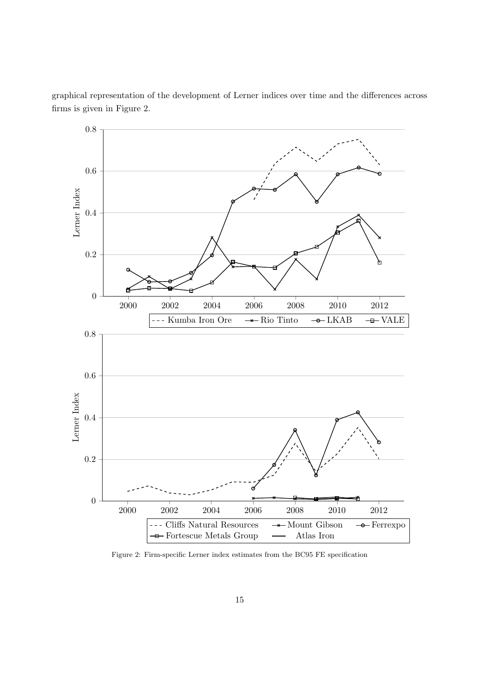<span id="page-16-0"></span>

graphical representation of the development of Lerner indices over time and the differences across firms is given in Figure [2.](#page-16-0)

Figure 2: Firm-specific Lerner index estimates from the BC95 FE specification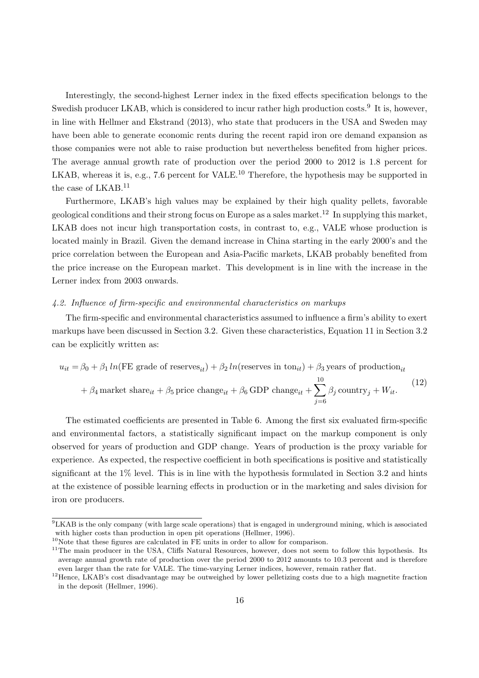Interestingly, the second-highest Lerner index in the fixed effects specification belongs to the Swedish producer LKAB, which is considered to incur rather high production costs.<sup>[9](#page-17-0)</sup> It is, however, in line with [Hellmer and Ekstrand \(2013](#page-23-20)), who state that producers in the USA and Sweden may have been able to generate economic rents during the recent rapid iron ore demand expansion as those companies were not able to raise production but nevertheless benefited from higher prices. The average annual growth rate of production over the period 2000 to 2012 is 1.8 percent for LKAB, whereas it is, e.g., 7.6 percent for VALE.<sup>[10](#page-17-1)</sup> Therefore, the hypothesis may be supported in the case of LKAB.[11](#page-17-2)

Furthermore, LKAB's high values may be explained by their high quality pellets, favorable geological conditions and their strong focus on Europe as a sales market.[12](#page-17-3) In supplying this market, LKAB does not incur high transportation costs, in contrast to, e.g., VALE whose production is located mainly in Brazil. Given the demand increase in China starting in the early 2000's and the price correlation between the European and Asia-Pacific markets, LKAB probably benefited from the price increase on the European market. This development is in line with the increase in the Lerner index from 2003 onwards.

#### *4.2. Influence of firm-specific and environmental characteristics on markups*

The firm-specific and environmental characteristics assumed to influence a firm's ability to exert markups have been discussed in Section [3.2.](#page-9-2) Given these characteristics, Equation [11](#page-10-1) in Section [3.2](#page-9-2) can be explicitly written as:

$$
u_{it} = \beta_0 + \beta_1 \ln(\text{FE grade of reserves}_{it}) + \beta_2 \ln(\text{reserves in ton}_{it}) + \beta_3 \text{ years of production}_{it}
$$

$$
+\beta_4 \text{ market share}_{it} + \beta_5 \text{ price change}_{it} + \beta_6 \text{ GDP change}_{it} + \sum_{j=6}^{10} \beta_j \text{ country}_j + W_{it}.
$$
 (12)

 $\overline{10}$ 

The estimated coefficients are presented in Table [6.](#page-18-0) Among the first six evaluated firm-specific and environmental factors, a statistically significant impact on the markup component is only observed for years of production and GDP change. Years of production is the proxy variable for experience. As expected, the respective coefficient in both specifications is positive and statistically significant at the 1% level. This is in line with the hypothesis formulated in Section [3.2](#page-9-2) and hints at the existence of possible learning effects in production or in the marketing and sales division for iron ore producers.

<sup>9</sup>LKAB is the only company (with large scale operations) that is engaged in underground mining, which is associated with higher costs than production in open pit operations [\(Hellmer](#page-23-15), [1996](#page-23-15)).

<span id="page-17-0"></span> $10$  Note that these figures are calculated in FE units in order to allow for comparison.

<span id="page-17-2"></span><span id="page-17-1"></span><sup>&</sup>lt;sup>11</sup>The main producer in the USA, Cliffs Natural Resources, however, does not seem to follow this hypothesis. Its average annual growth rate of production over the period 2000 to 2012 amounts to 10.3 percent and is therefore even larger than the rate for VALE. The time-varying Lerner indices, however, remain rather flat.

<span id="page-17-3"></span><sup>&</sup>lt;sup>12</sup>Hence, LKAB's cost disadvantage may be outweighed by lower pelletizing costs due to a high magnetite fraction in the deposit [\(Hellmer](#page-23-15), [1996](#page-23-15)).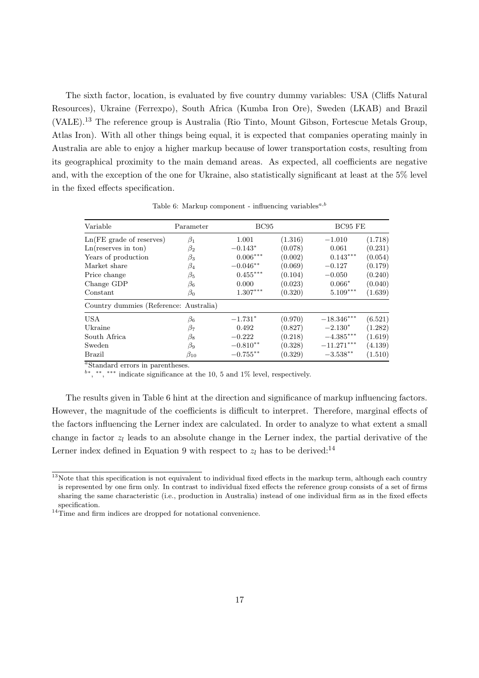The sixth factor, location, is evaluated by five country dummy variables: USA (Cliffs Natural Resources), Ukraine (Ferrexpo), South Africa (Kumba Iron Ore), Sweden (LKAB) and Brazil (VALE).[13](#page-18-1) The reference group is Australia (Rio Tinto, Mount Gibson, Fortescue Metals Group, Atlas Iron). With all other things being equal, it is expected that companies operating mainly in Australia are able to enjoy a higher markup because of lower transportation costs, resulting from its geographical proximity to the main demand areas. As expected, all coefficients are negative and, with the exception of the one for Ukraine, also statistically significant at least at the 5% level in the fixed effects specification.

<span id="page-18-0"></span>

| Variable                               | Parameter    |             | <b>BC95</b> |              | BC95 FE |
|----------------------------------------|--------------|-------------|-------------|--------------|---------|
| $Ln(FE\,\,grade\,\,of\,\,reserves)$    | $\beta_1$    | 1.001       | (1.316)     | $-1.010$     | (1.718) |
| Ln(reserves in ton)                    | $\beta_2$    | $-0.143*$   | (0.078)     | 0.061        | (0.231) |
| Years of production                    | $\beta_3$    | $0.006***$  | (0.002)     | $0.143***$   | (0.054) |
| Market share                           | $\beta_4$    | $-0.046**$  | (0.069)     | $-0.127$     | (0.179) |
| Price change                           | $\beta_5$    | $0.455***$  | (0.104)     | $-0.050$     | (0.240) |
| Change GDP                             | $\beta_6$    | 0.000       | (0.023)     | $0.066*$     | (0.040) |
| Constant                               | $\beta_0$    | $1.307***$  | (0.320)     | $5.109***$   | (1.639) |
| Country dummies (Reference: Australia) |              |             |             |              |         |
| <b>USA</b>                             | $\beta_6$    | $-1.731*$   | (0.970)     | $-18.346***$ | (6.521) |
| Ukraine                                | $\beta_7$    | 0.492       | (0.827)     | $-2.130*$    | (1.282) |
| South Africa                           | $\beta_8$    | $-0.222$    | (0.218)     | $-4.385***$  | (1.619) |
| Sweden                                 | $\beta_9$    | $-0.810**$  | (0.328)     | $-11.271***$ | (4.139) |
| <b>Brazil</b>                          | $\beta_{10}$ | $-0.755***$ | (0.329)     | $-3.538***$  | (1.510) |

Table 6: Markup component - influencing variables<sup> $a,b$ </sup>

 $a$ Standard errors in parentheses.

b∗ , ∗∗ , ∗∗∗ indicate significance at the 10, 5 and 1% level, respectively.

The results given in Table [6](#page-18-0) hint at the direction and significance of markup influencing factors. However, the magnitude of the coefficients is difficult to interpret. Therefore, marginal effects of the factors influencing the Lerner index are calculated. In order to analyze to what extent a small change in factor  $z_l$  leads to an absolute change in the Lerner index, the partial derivative of the Lerner index defined in Equation [9](#page-8-6) with respect to  $z_l$  has to be derived:<sup>[14](#page-18-2)</sup>

<span id="page-18-1"></span> $13$ Note that this specification is not equivalent to individual fixed effects in the markup term, although each country is represented by one firm only. In contrast to individual fixed effects the reference group consists of a set of firms sharing the same characteristic (i.e., production in Australia) instead of one individual firm as in the fixed effects specification.

<span id="page-18-2"></span><sup>14</sup>Time and firm indices are dropped for notational convenience.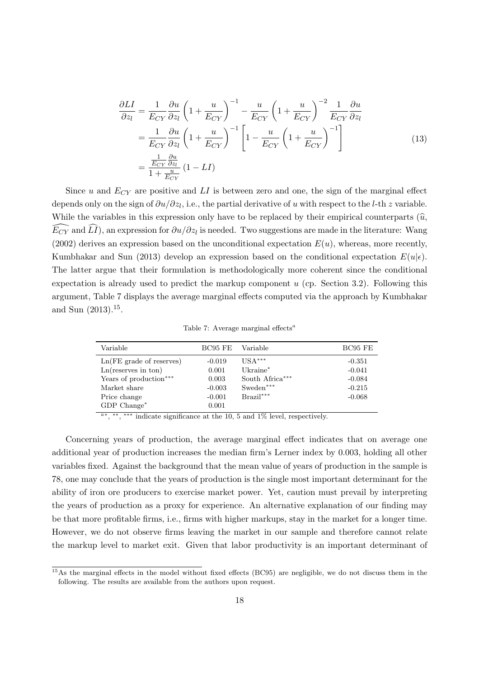$$
\frac{\partial LI}{\partial z_l} = \frac{1}{E_{CY}} \frac{\partial u}{\partial z_l} \left( 1 + \frac{u}{E_{CY}} \right)^{-1} - \frac{u}{E_{CY}} \left( 1 + \frac{u}{E_{CY}} \right)^{-2} \frac{1}{E_{CY}} \frac{\partial u}{\partial z_l}
$$
\n
$$
= \frac{1}{E_{CY}} \frac{\partial u}{\partial z_l} \left( 1 + \frac{u}{E_{CY}} \right)^{-1} \left[ 1 - \frac{u}{E_{CY}} \left( 1 + \frac{u}{E_{CY}} \right)^{-1} \right]
$$
\n
$$
= \frac{\frac{1}{E_{CY}} \frac{\partial u}{\partial z_l}}{1 + \frac{u}{E_{CY}}} (1 - LI)
$$
\n(13)

Since u and  $E_{CY}$  are positive and LI is between zero and one, the sign of the marginal effect depends only on the sign of  $\partial u/\partial z_l$ , i.e., the partial derivative of u with respect to the l-th z variable. While the variables in this expression only have to be replaced by their empirical counterparts  $(\hat{u},\hat{u})$  $\widehat{E_{CY}}$  and  $\widehat{LI}$ ), an expression for  $\partial u/\partial z_l$  is needed. Two suggestions are made in the literature: [Wang](#page-24-21) [\(2002\)](#page-24-21) derives an expression based on the unconditional expectation  $E(u)$ , whereas, more recently, [Kumbhakar and Sun \(2013](#page-24-22)) develop an expression based on the conditional expectation  $E(u|\epsilon)$ . The latter argue that their formulation is methodologically more coherent since the conditional expectation is already used to predict the markup component  $u$  (cp. Section [3.2\)](#page-9-2). Following this argume[nt, Table](#page-24-22) [7](#page-19-0) [displays the average marginal effects computed via the approach by](#page-24-22) Kumbhakar and Sun  $(2013).^{15}$  $(2013).^{15}$  $(2013).^{15}$ .

Table 7: Average marginal effects<sup> $a$ </sup>

<span id="page-19-0"></span>

| Variable                            | BC95 FE  | Variable        | BC95 FE  |
|-------------------------------------|----------|-----------------|----------|
| $Ln(FE\,\,grade\,\,of\,\,reserves)$ | $-0.019$ | $USA***$        | $-0.351$ |
| Ln(reserves in ton)                 | 0.001    | $Uk^$ aine $*$  | $-0.041$ |
| Years of production***              | 0.003    | South Africa*** | $-0.084$ |
| Market share                        | $-0.003$ | $Sweden***$     | $-0.215$ |
| Price change                        | $-0.001$ | $Brazil***$     | $-0.068$ |
| $GDP$ Change*                       | 0.001    |                 |          |

a∗ , ∗∗ , ∗∗∗ indicate significance at the 10, 5 and 1% level, respectively.

Concerning years of production, the average marginal effect indicates that on average one additional year of production increases the median firm's Lerner index by 0.003, holding all other variables fixed. Against the background that the mean value of years of production in the sample is 78, one may conclude that the years of production is the single most important determinant for the ability of iron ore producers to exercise market power. Yet, caution must prevail by interpreting the years of production as a proxy for experience. An alternative explanation of our finding may be that more profitable firms, i.e., firms with higher markups, stay in the market for a longer time. However, we do not observe firms leaving the market in our sample and therefore cannot relate the markup level to market exit. Given that labor productivity is an important determinant of

<span id="page-19-1"></span><sup>&</sup>lt;sup>15</sup>As the marginal effects in the model without fixed effects (BC95) are negligible, we do not discuss them in the following. The results are available from the authors upon request.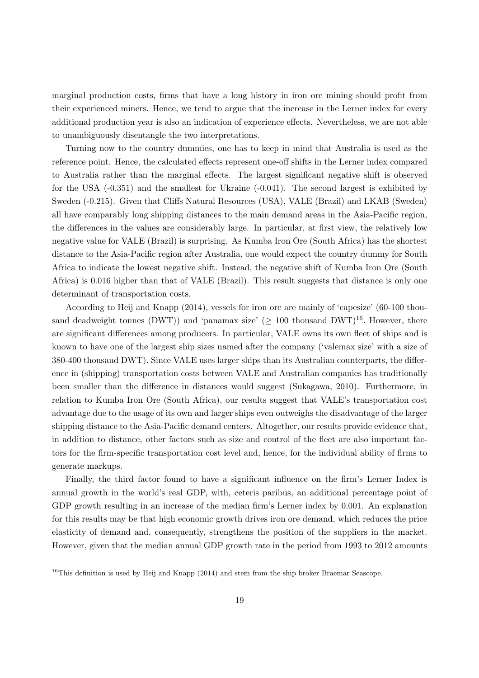marginal production costs, firms that have a long history in iron ore mining should profit from their experienced miners. Hence, we tend to argue that the increase in the Lerner index for every additional production year is also an indication of experience effects. Nevertheless, we are not able to unambiguously disentangle the two interpretations.

Turning now to the country dummies, one has to keep in mind that Australia is used as the reference point. Hence, the calculated effects represent one-off shifts in the Lerner index compared to Australia rather than the marginal effects. The largest significant negative shift is observed for the USA (-0.351) and the smallest for Ukraine (-0.041). The second largest is exhibited by Sweden (-0.215). Given that Cliffs Natural Resources (USA), VALE (Brazil) and LKAB (Sweden) all have comparably long shipping distances to the main demand areas in the Asia-Pacific region, the differences in the values are considerably large. In particular, at first view, the relatively low negative value for VALE (Brazil) is surprising. As Kumba Iron Ore (South Africa) has the shortest distance to the Asia-Pacific region after Australia, one would expect the country dummy for South Africa to indicate the lowest negative shift. Instead, the negative shift of Kumba Iron Ore (South Africa) is 0.016 higher than that of VALE (Brazil). This result suggests that distance is only one determinant of transportation costs.

According to [Heij and Knapp \(2014](#page-23-23)), vessels for iron ore are mainly of 'capesize' (60-100 thousand deadweight tonnes (DWT)) and 'panamax size' ( $\geq$  100 thousand DWT)<sup>[16](#page-20-0)</sup>. However, there are significant differences among producers. In particular, VALE owns its own fleet of ships and is known to have one of the largest ship sizes named after the company ('valemax size' with a size of 380-400 thousand DWT). Since VALE uses larger ships than its Australian counterparts, the difference in (shipping) transportation costs between VALE and Australian companies has traditionally been smaller than the difference in distances would suggest [\(Sukagawa, 2010](#page-24-19)). Furthermore, in relation to Kumba Iron Ore (South Africa), our results suggest that VALE's transportation cost advantage due to the usage of its own and larger ships even outweighs the disadvantage of the larger shipping distance to the Asia-Pacific demand centers. Altogether, our results provide evidence that, in addition to distance, other factors such as size and control of the fleet are also important factors for the firm-specific transportation cost level and, hence, for the individual ability of firms to generate markups.

Finally, the third factor found to have a significant influence on the firm's Lerner Index is annual growth in the world's real GDP, with, ceteris paribus, an additional percentage point of GDP growth resulting in an increase of the median firm's Lerner index by 0.001. An explanation for this results may be that high economic growth drives iron ore demand, which reduces the price elasticity of demand and, consequently, strengthens the position of the suppliers in the market. However, given that the median annual GDP growth rate in the period from 1993 to 2012 amounts

<span id="page-20-0"></span><sup>&</sup>lt;sup>16</sup>This definition is used by [Heij and Knapp \(2014](#page-23-23)) and stem from the ship broker Braemar Seascope.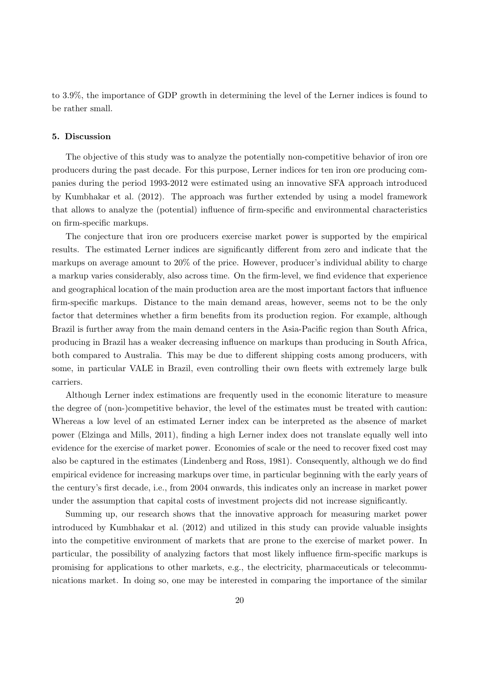to 3.9%, the importance of GDP growth in determining the level of the Lerner indices is found to be rather small.

#### 5. Discussion

The objective of this study was to analyze the potentially non-competitive behavior of iron ore producers during the past decade. For this purpose, Lerner indices for ten iron ore producing companies during the period 1993-2012 were estimated using an innovative SFA approach introduced by [Kumbhakar et al. \(2012](#page-24-0)). The approach was further extended by using a model framework that allows to analyze the (potential) influence of firm-specific and environmental characteristics on firm-specific markups.

The conjecture that iron ore producers exercise market power is supported by the empirical results. The estimated Lerner indices are significantly different from zero and indicate that the markups on average amount to 20% of the price. However, producer's individual ability to charge a markup varies considerably, also across time. On the firm-level, we find evidence that experience and geographical location of the main production area are the most important factors that influence firm-specific markups. Distance to the main demand areas, however, seems not to be the only factor that determines whether a firm benefits from its production region. For example, although Brazil is further away from the main demand centers in the Asia-Pacific region than South Africa, producing in Brazil has a weaker decreasing influence on markups than producing in South Africa, both compared to Australia. This may be due to different shipping costs among producers, with some, in particular VALE in Brazil, even controlling their own fleets with extremely large bulk carriers.

Although Lerner index estimations are frequently used in the economic literature to measure the degree of (non-)competitive behavior, the level of the estimates must be treated with caution: Whereas a low level of an estimated Lerner index can be interpreted as the absence of market power [\(Elzinga and Mills](#page-23-24), [2011](#page-23-24)), finding a high Lerner index does not translate equally well into evidence for the exercise of market power. Economies of scale or the need to recover fixed cost may also be captured in the estimates [\(Lindenberg and Ross, 1981\)](#page-24-23). Consequently, although we do find empirical evidence for increasing markups over time, in particular beginning with the early years of the century's first decade, i.e., from 2004 onwards, this indicates only an increase in market power under the assumption that capital costs of investment projects did not increase significantly.

Summing up, our research shows that the innovative approach for measuring market power introduced by [Kumbhakar et al. \(2012](#page-24-0)) and utilized in this study can provide valuable insights into the competitive environment of markets that are prone to the exercise of market power. In particular, the possibility of analyzing factors that most likely influence firm-specific markups is promising for applications to other markets, e.g., the electricity, pharmaceuticals or telecommunications market. In doing so, one may be interested in comparing the importance of the similar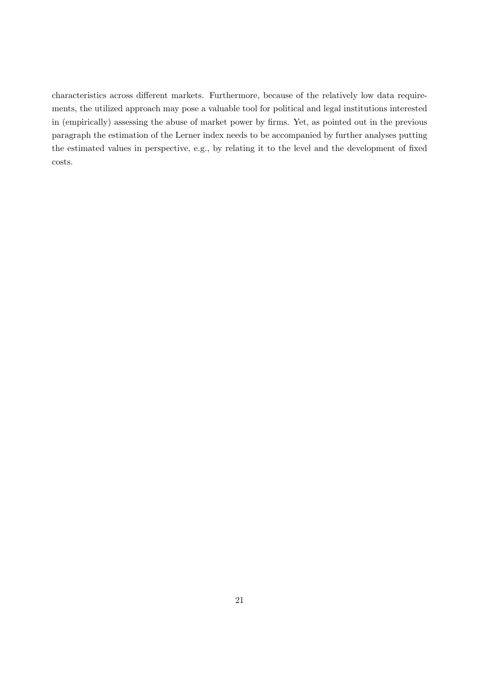characteristics across different markets. Furthermore, because of the relatively low data requirements, the utilized approach may pose a valuable tool for political and legal institutions interested in (empirically) assessing the abuse of market power by firms. Yet, as pointed out in the previous paragraph the estimation of the Lerner index needs to be accompanied by further analyses putting the estimated values in perspective, e.g., by relating it to the level and the development of fixed costs.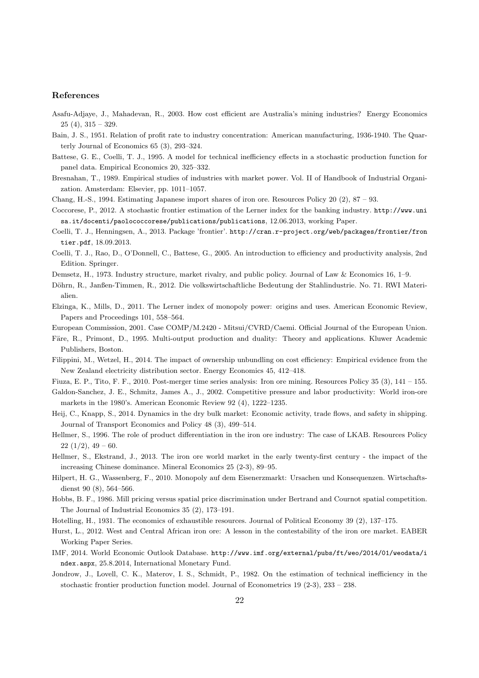#### References

- <span id="page-23-4"></span>Asafu-Adjaye, J., Mahadevan, R., 2003. How cost efficient are Australia's mining industries? Energy Economics 25 (4), 315 – 329.
- <span id="page-23-18"></span>Bain, J. S., 1951. Relation of profit rate to industry concentration: American manufacturing, 1936-1940. The Quarterly Journal of Economics 65 (3), 293–324.
- <span id="page-23-7"></span>Battese, G. E., Coelli, T. J., 1995. A model for technical inefficiency effects in a stochastic production function for panel data. Empirical Economics 20, 325–332.
- <span id="page-23-6"></span>Bresnahan, T., 1989. Empirical studies of industries with market power. Vol. II of Handbook of Industrial Organization. Amsterdam: Elsevier, pp. 1011–1057.
- <span id="page-23-3"></span>Chang, H.-S., 1994. Estimating Japanese import shares of iron ore. Resources Policy 20 (2), 87 – 93.
- <span id="page-23-8"></span>Coccorese, P., 2012. A stochastic frontier estimation of the Lerner index for the banking industry. [http://www.uni](http://www.unisa.it/docenti/paolococcorese/publications/publications) [sa.it/docenti/paolococcorese/publications/publications](http://www.unisa.it/docenti/paolococcorese/publications/publications), 12.06.2013, working Paper.
- <span id="page-23-22"></span>Coelli, T. J., Henningsen, A., 2013. Package 'frontier'. [http://cran.r-project.org/web/packages/frontier/fron](http://cran.r-project.org/web/packages/frontier/frontier.pdf) [tier.pdf](http://cran.r-project.org/web/packages/frontier/frontier.pdf), 18.09.2013.
- <span id="page-23-9"></span>Coelli, T. J., Rao, D., O'Donnell, C., Battese, G., 2005. An introduction to efficiency and productivity analysis, 2nd Edition. Springer.
- <span id="page-23-19"></span>Demsetz, H., 1973. Industry structure, market rivalry, and public policy. Journal of Law & Economics 16, 1–9.
- <span id="page-23-0"></span>Döhrn, R., Janßen-Timmen, R., 2012. Die volkswirtschaftliche Bedeutung der Stahlindustrie. No. 71. RWI Materialien.
- <span id="page-23-24"></span>Elzinga, K., Mills, D., 2011. The Lerner index of monopoly power: origins and uses. American Economic Review, Papers and Proceedings 101, 558–564.

<span id="page-23-12"></span>European Commission, 2001. Case COMP/M.2420 - Mitsui/CVRD/Caemi. Official Journal of the European Union.

- <span id="page-23-10"></span>Färe, R., Primont, D., 1995. Multi-output production and duality: Theory and applications. Kluwer Academic Publishers, Boston.
- <span id="page-23-14"></span>Filippini, M., Wetzel, H., 2014. The impact of ownership unbundling on cost efficiency: Empirical evidence from the New Zealand electricity distribution sector. Energy Economics 45, 412–418.

<span id="page-23-5"></span>Fiuza, E. P., Tito, F. F., 2010. Post-merger time series analysis: Iron ore mining. Resources Policy 35 (3), 141 – 155.

- <span id="page-23-17"></span>Galdon-Sanchez, J. E., Schmitz, James A., J., 2002. Competitive pressure and labor productivity: World iron-ore markets in the 1980's. American Economic Review 92 (4), 1222–1235.
- <span id="page-23-23"></span>Heij, C., Knapp, S., 2014. Dynamics in the dry bulk market: Economic activity, trade flows, and safety in shipping. Journal of Transport Economics and Policy 48 (3), 499–514.
- <span id="page-23-15"></span>Hellmer, S., 1996. The role of product differentiation in the iron ore industry: The case of LKAB. Resources Policy  $22(1/2), 49-60.$
- <span id="page-23-20"></span>Hellmer, S., Ekstrand, J., 2013. The iron ore world market in the early twenty-first century - the impact of the increasing Chinese dominance. Mineral Economics 25 (2-3), 89–95.
- <span id="page-23-1"></span>Hilpert, H. G., Wassenberg, F., 2010. Monopoly auf dem Eisenerzmarkt: Ursachen und Konsequenzen. Wirtschaftsdienst 90 (8), 564–566.
- <span id="page-23-16"></span>Hobbs, B. F., 1986. Mill pricing versus spatial price discrimination under Bertrand and Cournot spatial competition. The Journal of Industrial Economics 35 (2), 173–191.
- <span id="page-23-11"></span>Hotelling, H., 1931. The economics of exhaustible resources. Journal of Political Economy 39 (2), 137–175.
- <span id="page-23-2"></span>Hurst, L., 2012. West and Central African iron ore: A lesson in the contestability of the iron ore market. EABER Working Paper Series.
- <span id="page-23-21"></span>IMF, 2014. World Economic Outlook Database. [http://www.imf.org/external/pubs/ft/weo/2014/01/weodata/i](http://www.imf.org/external/pubs/ft/weo/2014/01/weodata/index.aspx) [ndex.aspx](http://www.imf.org/external/pubs/ft/weo/2014/01/weodata/index.aspx), 25.8.2014, International Monetary Fund.
- <span id="page-23-13"></span>Jondrow, J., Lovell, C. K., Materov, I. S., Schmidt, P., 1982. On the estimation of technical inefficiency in the stochastic frontier production function model. Journal of Econometrics 19 (2-3), 233 – 238.